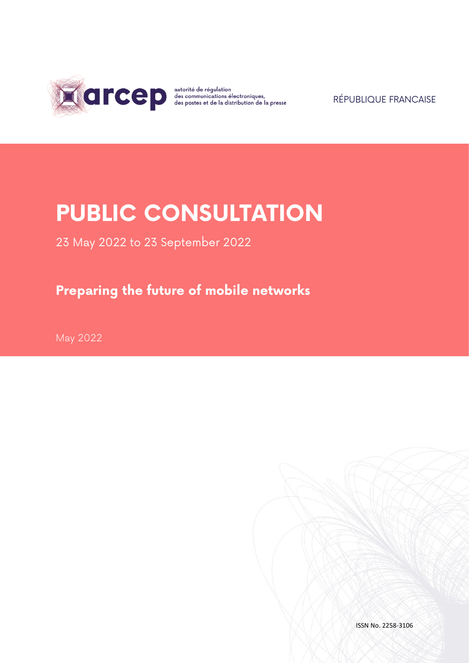

RÉPUBLIQUE FRANÇAISE

# **PUBLIC CONSULTATION**

23 May 2022 to 23 September 2022

## **Preparing the future of mobile networks**

May 2022

ISSN No. 2258-3106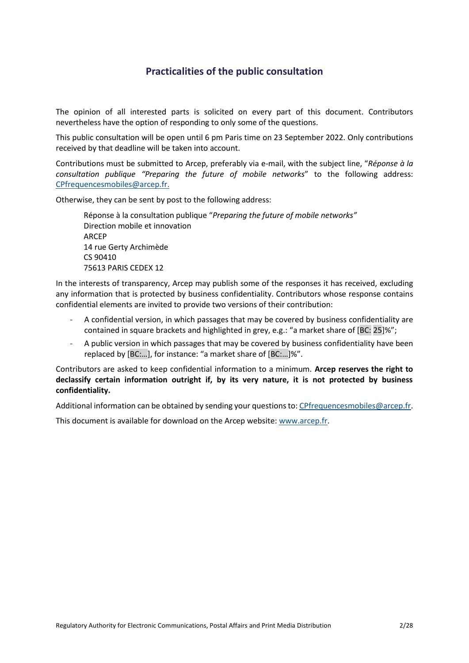### **Practicalities of the public consultation**

The opinion of all interested parts is solicited on every part of this document. Contributors nevertheless have the option of responding to only some of the questions.

This public consultation will be open until 6 pm Paris time on 23 September 2022. Only contributions received by that deadline will be taken into account.

Contributions must be submitted to Arcep, preferably via e-mail, with the subject line, "*Réponse à la consultation publique "Preparing the future of mobile networks*" to the following address: [CPfrequencesmobiles@arcep.fr.](mailto:CPfrequencesmobiles@arcep.fr)

Otherwise, they can be sent by post to the following address:

Réponse à la consultation publique "*Preparing the future of mobile networks"* Direction mobile et innovation ARCEP 14 rue Gerty Archimède CS 90410 75613 PARIS CEDEX 12

In the interests of transparency, Arcep may publish some of the responses it has received, excluding any information that is protected by business confidentiality. Contributors whose response contains confidential elements are invited to provide two versions of their contribution:

- A confidential version, in which passages that may be covered by business confidentiality are contained in square brackets and highlighted in grey, e.g.: "a market share of [BC: 25]%";
- A public version in which passages that may be covered by business confidentiality have been replaced by [BC:…], for instance: "a market share of [BC:…]%".

Contributors are asked to keep confidential information to a minimum. **Arcep reserves the right to declassify certain information outright if, by its very nature, it is not protected by business confidentiality.** 

Additional information can be obtained by sending your questions to: [CPfrequencesmobiles@arcep.fr.](mailto:CPfrequencesmobiles@arcep.fr)

This document is available for download on the Arcep website: [www.arcep.fr.](http://www.arcep.fr/)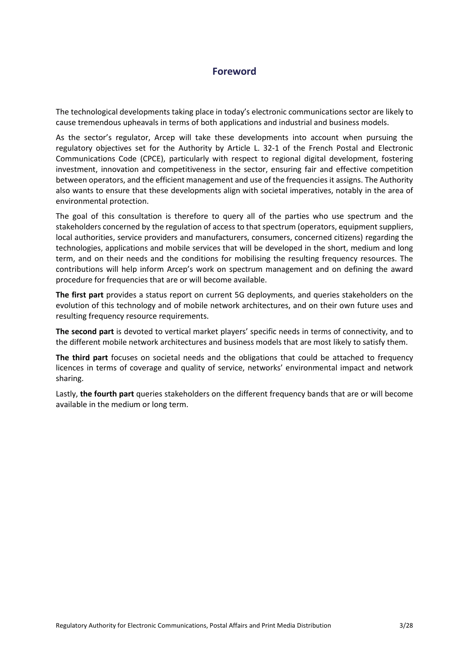### **Foreword**

The technological developments taking place in today's electronic communications sector are likely to cause tremendous upheavals in terms of both applications and industrial and business models.

As the sector's regulator, Arcep will take these developments into account when pursuing the regulatory objectives set for the Authority by Article L. 32-1 of the French Postal and Electronic Communications Code (CPCE), particularly with respect to regional digital development, fostering investment, innovation and competitiveness in the sector, ensuring fair and effective competition between operators, and the efficient management and use of the frequencies it assigns. The Authority also wants to ensure that these developments align with societal imperatives, notably in the area of environmental protection.

The goal of this consultation is therefore to query all of the parties who use spectrum and the stakeholders concerned by the regulation of access to that spectrum (operators, equipment suppliers, local authorities, service providers and manufacturers, consumers, concerned citizens) regarding the technologies, applications and mobile services that will be developed in the short, medium and long term, and on their needs and the conditions for mobilising the resulting frequency resources. The contributions will help inform Arcep's work on spectrum management and on defining the award procedure for frequencies that are or will become available.

**The first part** provides a status report on current 5G deployments, and queries stakeholders on the evolution of this technology and of mobile network architectures, and on their own future uses and resulting frequency resource requirements.

**The second part** is devoted to vertical market players' specific needs in terms of connectivity, and to the different mobile network architectures and business models that are most likely to satisfy them.

**The third part** focuses on societal needs and the obligations that could be attached to frequency licences in terms of coverage and quality of service, networks' environmental impact and network sharing.

Lastly, **the fourth part** queries stakeholders on the different frequency bands that are or will become available in the medium or long term.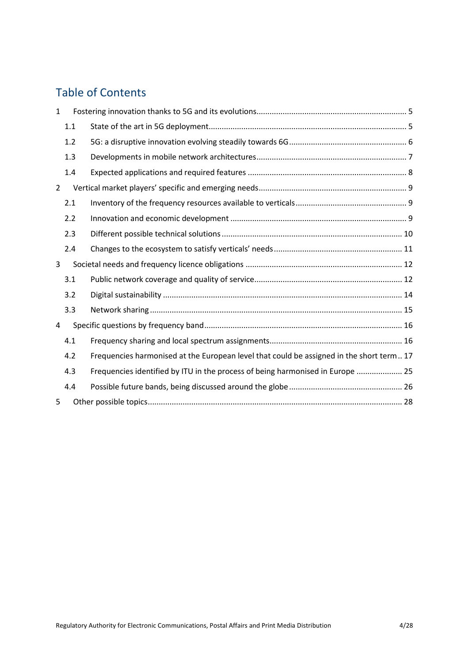## Table of Contents

| $\mathbf{1}$   |     |                                                                                          |  |  |
|----------------|-----|------------------------------------------------------------------------------------------|--|--|
|                | 1.1 |                                                                                          |  |  |
|                | 1.2 |                                                                                          |  |  |
|                | 1.3 |                                                                                          |  |  |
|                | 1.4 |                                                                                          |  |  |
| $\overline{2}$ |     |                                                                                          |  |  |
|                | 2.1 |                                                                                          |  |  |
|                | 2.2 |                                                                                          |  |  |
|                | 2.3 |                                                                                          |  |  |
|                | 2.4 |                                                                                          |  |  |
| 3              |     |                                                                                          |  |  |
|                | 3.1 |                                                                                          |  |  |
|                | 3.2 |                                                                                          |  |  |
|                | 3.3 |                                                                                          |  |  |
| 4              |     |                                                                                          |  |  |
|                | 4.1 |                                                                                          |  |  |
|                | 4.2 | Frequencies harmonised at the European level that could be assigned in the short term 17 |  |  |
|                | 4.3 | Frequencies identified by ITU in the process of being harmonised in Europe  25           |  |  |
|                | 4.4 |                                                                                          |  |  |
| 5              |     |                                                                                          |  |  |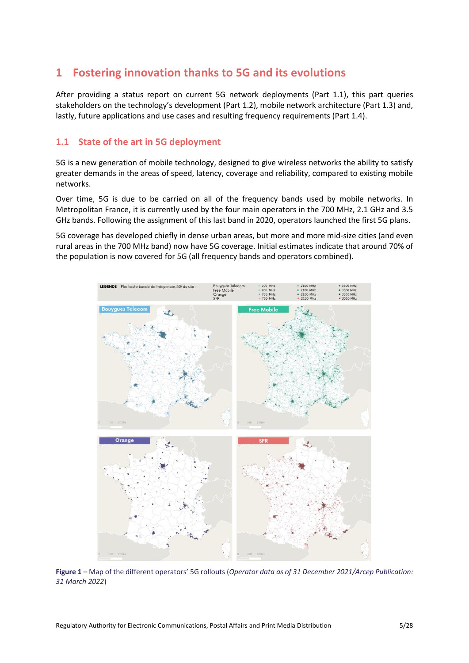## <span id="page-4-0"></span>**1 Fostering innovation thanks to 5G and its evolutions**

After providing a status report on current 5G network deployments (Part 1.1), this part queries stakeholders on the technology's development (Part 1.2), mobile network architecture (Part 1.3) and, lastly, future applications and use cases and resulting frequency requirements (Part 1.4).

### <span id="page-4-1"></span>**1.1 State of the art in 5G deployment**

5G is a new generation of mobile technology, designed to give wireless networks the ability to satisfy greater demands in the areas of speed, latency, coverage and reliability, compared to existing mobile networks.

Over time, 5G is due to be carried on all of the frequency bands used by mobile networks. In Metropolitan France, it is currently used by the four main operators in the 700 MHz, 2.1 GHz and 3.5 GHz bands. Following the assignment of this last band in 2020, operators launched the first 5G plans.

5G coverage has developed chiefly in dense urban areas, but more and more mid-size cities (and even rural areas in the 700 MHz band) now have 5G coverage. Initial estimates indicate that around 70% of the population is now covered for 5G (all frequency bands and operators combined).



**Figure 1** – Map of the different operators' 5G rollouts (*Operator data as of 31 December 2021/Arcep Publication: 31 March 2022*)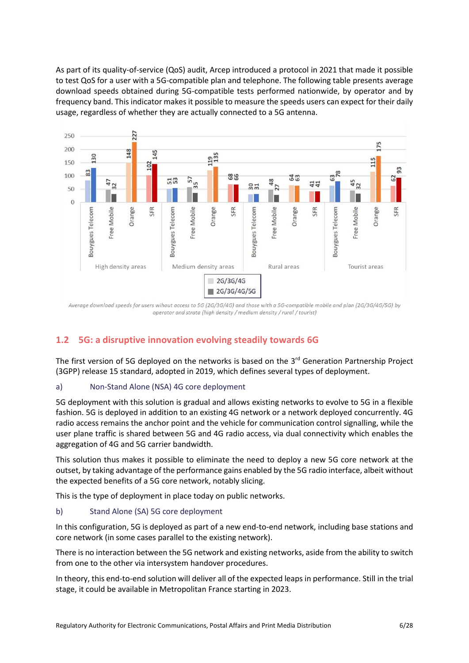As part of its quality-of-service (QoS) audit, Arcep introduced a protocol in 2021 that made it possible to test QoS for a user with a 5G-compatible plan and telephone. The following table presents average download speeds obtained during 5G-compatible tests performed nationwide, by operator and by frequency band. This indicator makes it possible to measure the speeds users can expect for their daily usage, regardless of whether they are actually connected to a 5G antenna.



Average download speeds for users wihout access to 5G (2G/3G/4G) and those with a 5G-compatible mobile and plan (2G/3G/4G/5G) by operator and strata (high density / medium density / rural / tourist)

### <span id="page-5-0"></span>**1.2 5G: a disruptive innovation evolving steadily towards 6G**

The first version of 5G deployed on the networks is based on the 3<sup>rd</sup> Generation Partnership Project (3GPP) release 15 standard, adopted in 2019, which defines several types of deployment.

#### a) Non-Stand Alone (NSA) 4G core deployment

5G deployment with this solution is gradual and allows existing networks to evolve to 5G in a flexible fashion. 5G is deployed in addition to an existing 4G network or a network deployed concurrently. 4G radio access remains the anchor point and the vehicle for communication control signalling, while the user plane traffic is shared between 5G and 4G radio access, via dual connectivity which enables the aggregation of 4G and 5G carrier bandwidth.

This solution thus makes it possible to eliminate the need to deploy a new 5G core network at the outset, by taking advantage of the performance gains enabled by the 5G radio interface, albeit without the expected benefits of a 5G core network, notably slicing.

This is the type of deployment in place today on public networks.

#### b) Stand Alone (SA) 5G core deployment

In this configuration, 5G is deployed as part of a new end-to-end network, including base stations and core network (in some cases parallel to the existing network).

There is no interaction between the 5G network and existing networks, aside from the ability to switch from one to the other via intersystem handover procedures.

In theory, this end-to-end solution will deliver all of the expected leaps in performance. Still in the trial stage, it could be available in Metropolitan France starting in 2023.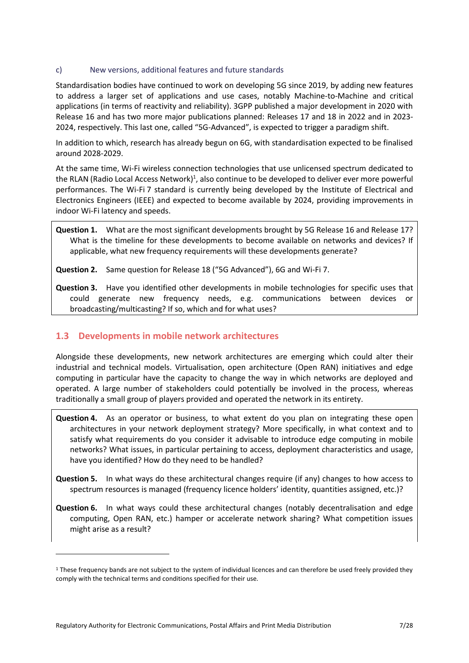#### c) New versions, additional features and future standards

Standardisation bodies have continued to work on developing 5G since 2019, by adding new features to address a larger set of applications and use cases, notably Machine-to-Machine and critical applications (in terms of reactivity and reliability). 3GPP published a major development in 2020 with Release 16 and has two more major publications planned: Releases 17 and 18 in 2022 and in 2023- 2024, respectively. This last one, called "5G-Advanced", is expected to trigger a paradigm shift.

In addition to which, research has already begun on 6G, with standardisation expected to be finalised around 2028-2029.

At the same time, Wi-Fi wireless connection technologies that use unlicensed spectrum dedicated to the RLAN (Radio Local Access Network)<sup>1</sup>, also continue to be developed to deliver ever more powerful performances. The Wi-Fi 7 standard is currently being developed by the Institute of Electrical and Electronics Engineers (IEEE) and expected to become available by 2024, providing improvements in indoor Wi-Fi latency and speeds.

**Question 1.** What are the most significant developments brought by 5G Release 16 and Release 17? What is the timeline for these developments to become available on networks and devices? If applicable, what new frequency requirements will these developments generate?

**Question 2.** Same question for Release 18 ("5G Advanced"), 6G and Wi-Fi 7.

**Question 3.** Have you identified other developments in mobile technologies for specific uses that could generate new frequency needs, e.g. communications between devices or broadcasting/multicasting? If so, which and for what uses?

### <span id="page-6-0"></span>**1.3 Developments in mobile network architectures**

Alongside these developments, new network architectures are emerging which could alter their industrial and technical models. Virtualisation, open architecture (Open RAN) initiatives and edge computing in particular have the capacity to change the way in which networks are deployed and operated. A large number of stakeholders could potentially be involved in the process, whereas traditionally a small group of players provided and operated the network in its entirety.

**Question 4.** As an operator or business, to what extent do you plan on integrating these open architectures in your network deployment strategy? More specifically, in what context and to satisfy what requirements do you consider it advisable to introduce edge computing in mobile networks? What issues, in particular pertaining to access, deployment characteristics and usage, have you identified? How do they need to be handled?

**Question 5.** In what ways do these architectural changes require (if any) changes to how access to spectrum resources is managed (frequency licence holders' identity, quantities assigned, etc.)?

**Question 6.** In what ways could these architectural changes (notably decentralisation and edge computing, Open RAN, etc.) hamper or accelerate network sharing? What competition issues might arise as a result?

 $\overline{\phantom{a}}$ 

<sup>&</sup>lt;sup>1</sup> These frequency bands are not subject to the system of individual licences and can therefore be used freely provided they comply with the technical terms and conditions specified for their use.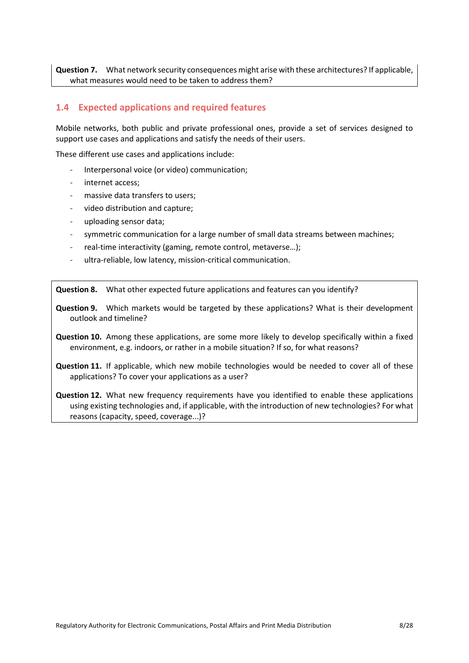**Question 7.** What network security consequences might arise with these architectures? If applicable, what measures would need to be taken to address them?

### <span id="page-7-0"></span>**1.4 Expected applications and required features**

Mobile networks, both public and private professional ones, provide a set of services designed to support use cases and applications and satisfy the needs of their users.

These different use cases and applications include:

- Interpersonal voice (or video) communication;
- internet access;
- massive data transfers to users;
- video distribution and capture;
- uploading sensor data;
- symmetric communication for a large number of small data streams between machines;
- real-time interactivity (gaming, remote control, metaverse...);
- ultra-reliable, low latency, mission-critical communication.

**Question 8.** What other expected future applications and features can you identify?

**Question 9.** Which markets would be targeted by these applications? What is their development outlook and timeline?

**Question 10.** Among these applications, are some more likely to develop specifically within a fixed environment, e.g. indoors, or rather in a mobile situation? If so, for what reasons?

**Question 11.** If applicable, which new mobile technologies would be needed to cover all of these applications? To cover your applications as a user?

**Question 12.** What new frequency requirements have you identified to enable these applications using existing technologies and, if applicable, with the introduction of new technologies? For what reasons (capacity, speed, coverage...)?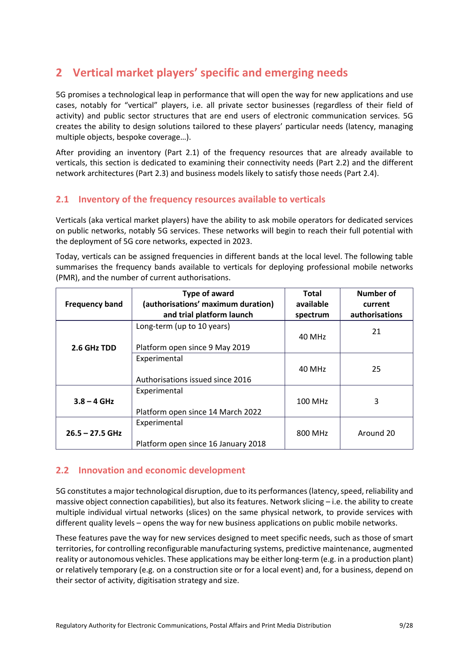## <span id="page-8-0"></span>**2 Vertical market players' specific and emerging needs**

5G promises a technological leap in performance that will open the way for new applications and use cases, notably for "vertical" players, i.e. all private sector businesses (regardless of their field of activity) and public sector structures that are end users of electronic communication services. 5G creates the ability to design solutions tailored to these players' particular needs (latency, managing multiple objects, bespoke coverage…).

After providing an inventory (Part 2.1) of the frequency resources that are already available to verticals, this section is dedicated to examining their connectivity needs (Part 2.2) and the different network architectures (Part 2.3) and business models likely to satisfy those needs (Part 2.4).

### <span id="page-8-1"></span>**2.1 Inventory of the frequency resources available to verticals**

Verticals (aka vertical market players) have the ability to ask mobile operators for dedicated services on public networks, notably 5G services. These networks will begin to reach their full potential with the deployment of 5G core networks, expected in 2023.

Today, verticals can be assigned frequencies in different bands at the local level. The following table summarises the frequency bands available to verticals for deploying professional mobile networks (PMR), and the number of current authorisations.

| <b>Frequency band</b> | Type of award<br>(authorisations' maximum duration)<br>and trial platform launch | Total<br>available<br>spectrum | Number of<br>current<br>authorisations |
|-----------------------|----------------------------------------------------------------------------------|--------------------------------|----------------------------------------|
| 2.6 GHz TDD           | Long-term (up to 10 years)<br>Platform open since 9 May 2019                     | 40 MHz                         | 21                                     |
|                       | Experimental<br>Authorisations issued since 2016                                 | 40 MHz                         | 25                                     |
| $3.8 - 4$ GHz         | Experimental<br>Platform open since 14 March 2022                                | 100 MHz                        | 3                                      |
| $26.5 - 27.5$ GHz     | Experimental<br>Platform open since 16 January 2018                              | 800 MHz                        | Around 20                              |

### <span id="page-8-2"></span>**2.2 Innovation and economic development**

5G constitutes a major technological disruption, due to its performances (latency, speed, reliability and massive object connection capabilities), but also its features. Network slicing – i.e. the ability to create multiple individual virtual networks (slices) on the same physical network, to provide services with different quality levels – opens the way for new business applications on public mobile networks.

These features pave the way for new services designed to meet specific needs, such as those of smart territories, for controlling reconfigurable manufacturing systems, predictive maintenance, augmented reality or autonomous vehicles. These applications may be either long-term (e.g. in a production plant) or relatively temporary (e.g. on a construction site or for a local event) and, for a business, depend on their sector of activity, digitisation strategy and size.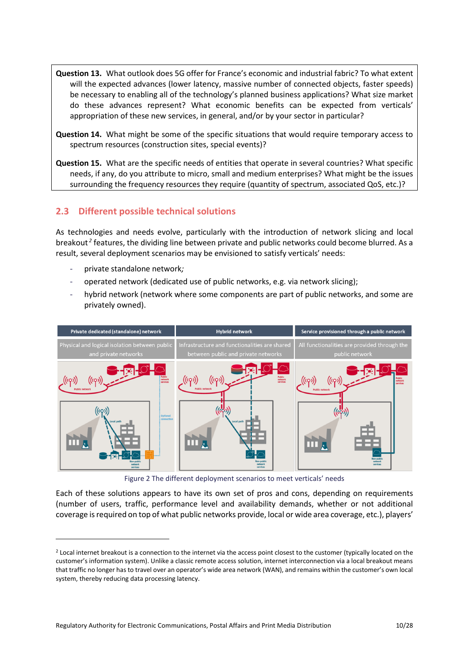**Question 13.** What outlook does 5G offer for France's economic and industrial fabric? To what extent will the expected advances (lower latency, massive number of connected objects, faster speeds) be necessary to enabling all of the technology's planned business applications? What size market do these advances represent? What economic benefits can be expected from verticals' appropriation of these new services, in general, and/or by your sector in particular?

**Question 14.** What might be some of the specific situations that would require temporary access to spectrum resources (construction sites, special events)?

**Question 15.** What are the specific needs of entities that operate in several countries? What specific needs, if any, do you attribute to micro, small and medium enterprises? What might be the issues surrounding the frequency resources they require (quantity of spectrum, associated QoS, etc.)?

### <span id="page-9-0"></span>**2.3 Different possible technical solutions**

As technologies and needs evolve, particularly with the introduction of network slicing and local breakout<sup>2</sup> features, the dividing line between private and public networks could become blurred. As a result, several deployment scenarios may be envisioned to satisfy verticals' needs:

- private standalone network*;*

 $\overline{a}$ 

- operated network (dedicated use of public networks, e.g. via network slicing);
- hybrid network (network where some components are part of public networks, and some are privately owned).



Figure 2 The different deployment scenarios to meet verticals' needs

Each of these solutions appears to have its own set of pros and cons, depending on requirements (number of users, traffic, performance level and availability demands, whether or not additional coverage is required on top of what public networks provide, local or wide area coverage, etc.), players'

<sup>&</sup>lt;sup>2</sup> Local internet breakout is a connection to the internet via the access point closest to the customer (typically located on the customer's information system). Unlike a classic remote access solution, internet interconnection via a local breakout means that traffic no longer has to travel over an operator's wide area network (WAN), and remains within the customer's own local system, thereby reducing data processing latency.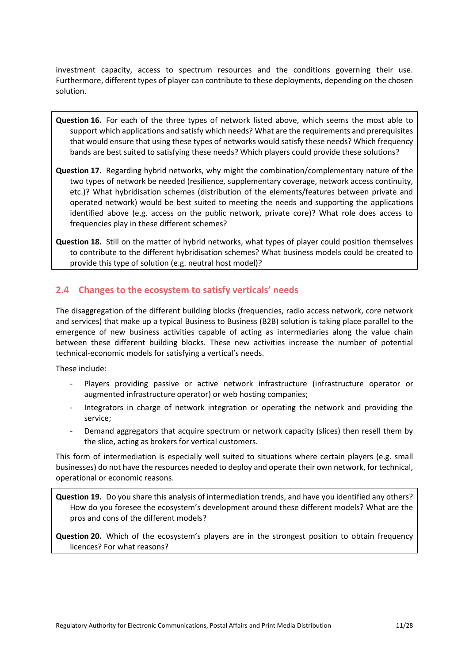investment capacity, access to spectrum resources and the conditions governing their use. Furthermore, different types of player can contribute to these deployments, depending on the chosen solution.

- **Question 16.** For each of the three types of network listed above, which seems the most able to support which applications and satisfy which needs? What are the requirements and prerequisites that would ensure that using these types of networks would satisfy these needs? Which frequency bands are best suited to satisfying these needs? Which players could provide these solutions?
- **Question 17.** Regarding hybrid networks, why might the combination/complementary nature of the two types of network be needed (resilience, supplementary coverage, network access continuity, etc.)? What hybridisation schemes (distribution of the elements/features between private and operated network) would be best suited to meeting the needs and supporting the applications identified above (e.g. access on the public network, private core)? What role does access to frequencies play in these different schemes?
- **Question 18.** Still on the matter of hybrid networks, what types of player could position themselves to contribute to the different hybridisation schemes? What business models could be created to provide this type of solution (e.g. neutral host model)?

### <span id="page-10-0"></span>**2.4 Changes to the ecosystem to satisfy verticals' needs**

The disaggregation of the different building blocks (frequencies, radio access network, core network and services) that make up a typical Business to Business (B2B) solution is taking place parallel to the emergence of new business activities capable of acting as intermediaries along the value chain between these different building blocks. These new activities increase the number of potential technical-economic models for satisfying a vertical's needs.

These include:

- Players providing passive or active network infrastructure (infrastructure operator or augmented infrastructure operator) or web hosting companies;
- Integrators in charge of network integration or operating the network and providing the service;
- Demand aggregators that acquire spectrum or network capacity (slices) then resell them by the slice, acting as brokers for vertical customers.

This form of intermediation is especially well suited to situations where certain players (e.g. small businesses) do not have the resources needed to deploy and operate their own network, for technical, operational or economic reasons.

**Question 19.** Do you share this analysis of intermediation trends, and have you identified any others? How do you foresee the ecosystem's development around these different models? What are the pros and cons of the different models?

**Question 20.** Which of the ecosystem's players are in the strongest position to obtain frequency licences? For what reasons?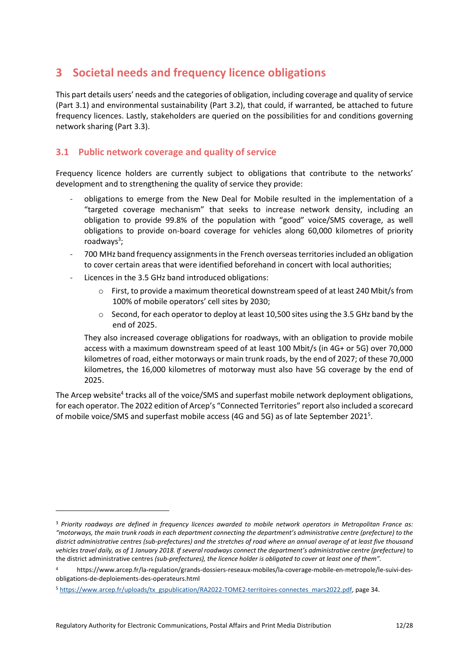## <span id="page-11-0"></span>**3 Societal needs and frequency licence obligations**

This part details users' needs and the categories of obligation, including coverage and quality of service (Part 3.1) and environmental sustainability (Part 3.2), that could, if warranted, be attached to future frequency licences. Lastly, stakeholders are queried on the possibilities for and conditions governing network sharing (Part 3.3).

### <span id="page-11-1"></span>**3.1 Public network coverage and quality of service**

Frequency licence holders are currently subject to obligations that contribute to the networks' development and to strengthening the quality of service they provide:

- obligations to emerge from the New Deal for Mobile resulted in the implementation of a "targeted coverage mechanism" that seeks to increase network density, including an obligation to provide 99.8% of the population with "good" voice/SMS coverage, as well obligations to provide on-board coverage for vehicles along 60,000 kilometres of priority roadways<sup>3</sup>;
- 700 MHz band frequency assignments in the French overseas territories included an obligation to cover certain areas that were identified beforehand in concert with local authorities;
- Licences in the 3.5 GHz band introduced obligations:

l

- $\circ$  First, to provide a maximum theoretical downstream speed of at least 240 Mbit/s from 100% of mobile operators' cell sites by 2030;
- o Second, for each operator to deploy at least 10,500 sites using the 3.5 GHz band by the end of 2025.

They also increased coverage obligations for roadways, with an obligation to provide mobile access with a maximum downstream speed of at least 100 Mbit/s (in 4G+ or 5G) over 70,000 kilometres of road, either motorways or main trunk roads, by the end of 2027; of these 70,000 kilometres, the 16,000 kilometres of motorway must also have 5G coverage by the end of 2025.

The Arcep website<sup>4</sup> tracks all of the voice/SMS and superfast mobile network deployment obligations, for each operator. The 2022 edition of Arcep's "Connected Territories" report also included a scorecard of mobile voice/SMS and superfast mobile access (4G and 5G) as of late September 2021<sup>5</sup>.

<sup>3</sup> *Priority roadways are defined in frequency licences awarded to mobile network operators in Metropolitan France as: "motorways, the main trunk roads in each department connecting the department's administrative centre (prefecture) to the district administrative centres (sub-prefectures) and the stretches of road where an annual average of at least five thousand vehicles travel daily, as of 1 January 2018. If several roadways connect the department's administrative centre (prefecture)* to the district administrative centres *(sub-prefectures), the licence holder is obligated to cover at least one of them".*

<sup>4</sup> https://www.arcep.fr/la-regulation/grands-dossiers-reseaux-mobiles/la-coverage-mobile-en-metropole/le-suivi-desobligations-de-deploiements-des-operateurs.html

<sup>5</sup> [https://www.arcep.fr/uploads/tx\\_gspublication/RA2022-TOME2-territoires-connectes\\_mars2022.pdf,](https://www.arcep.fr/uploads/tx_gspublication/RA2022-TOME2-territoires-connectes_mars2022.pdf) page 34.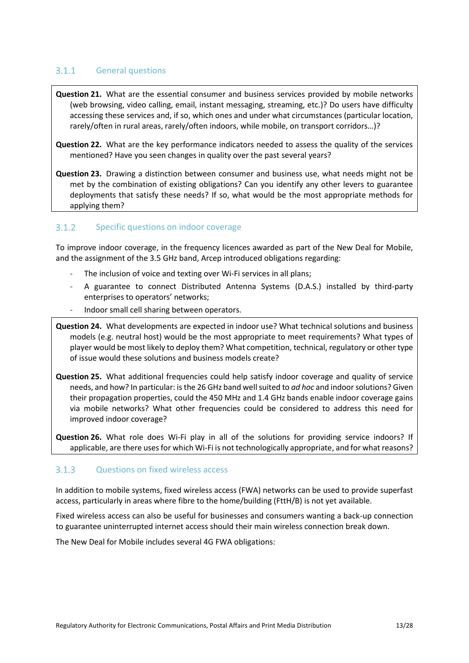#### $3.1.1$ General questions

**Question 21.** What are the essential consumer and business services provided by mobile networks (web browsing, video calling, email, instant messaging, streaming, etc.)? Do users have difficulty accessing these services and, if so, which ones and under what circumstances (particular location, rarely/often in rural areas, rarely/often indoors, while mobile, on transport corridors…)?

**Question 22.** What are the key performance indicators needed to assess the quality of the services mentioned? Have you seen changes in quality over the past several years?

**Question 23.** Drawing a distinction between consumer and business use, what needs might not be met by the combination of existing obligations? Can you identify any other levers to guarantee deployments that satisfy these needs? If so, what would be the most appropriate methods for applying them?

#### $3.1.2$ Specific questions on indoor coverage

To improve indoor coverage, in the frequency licences awarded as part of the New Deal for Mobile, and the assignment of the 3.5 GHz band, Arcep introduced obligations regarding:

- The inclusion of voice and texting over Wi-Fi services in all plans;
- A guarantee to connect Distributed Antenna Systems (D.A.S.) installed by third-party enterprises to operators' networks;
- Indoor small cell sharing between operators.

**Question 24.** What developments are expected in indoor use? What technical solutions and business models (e.g. neutral host) would be the most appropriate to meet requirements? What types of player would be most likely to deploy them? What competition, technical, regulatory or other type of issue would these solutions and business models create?

**Question 25.** What additional frequencies could help satisfy indoor coverage and quality of service needs, and how? In particular: is the 26 GHz band well suited to *ad hoc* and indoor solutions? Given their propagation properties, could the 450 MHz and 1.4 GHz bands enable indoor coverage gains via mobile networks? What other frequencies could be considered to address this need for improved indoor coverage?

**Question 26.** What role does Wi-Fi play in all of the solutions for providing service indoors? If applicable, are there uses for which Wi-Fi is not technologically appropriate, and for what reasons?

#### $3.1.3$ Questions on fixed wireless access

In addition to mobile systems, fixed wireless access (FWA) networks can be used to provide superfast access, particularly in areas where fibre to the home/building (FttH/B) is not yet available.

Fixed wireless access can also be useful for businesses and consumers wanting a back-up connection to guarantee uninterrupted internet access should their main wireless connection break down.

The New Deal for Mobile includes several 4G FWA obligations: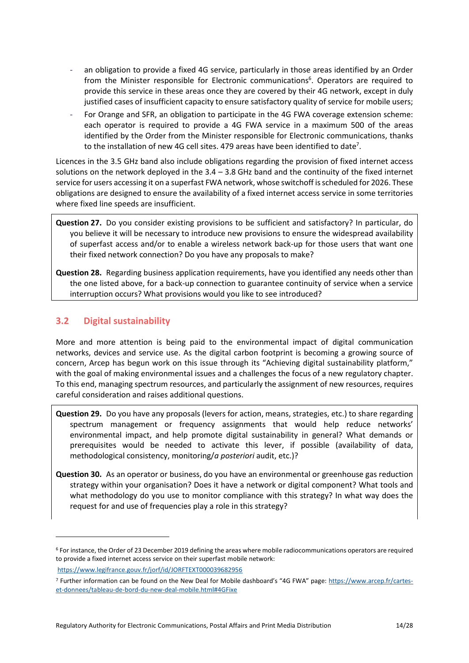- an obligation to provide a fixed 4G service, particularly in those areas identified by an Order from the Minister responsible for Electronic communications<sup>6</sup>. Operators are required to provide this service in these areas once they are covered by their 4G network, except in duly justified cases of insufficient capacity to ensure satisfactory quality of service for mobile users;
- For Orange and SFR, an obligation to participate in the 4G FWA coverage extension scheme: each operator is required to provide a 4G FWA service in a maximum 500 of the areas identified by the Order from the Minister responsible for Electronic communications, thanks to the installation of new 4G cell sites. 479 areas have been identified to date<sup>7</sup>.

Licences in the 3.5 GHz band also include obligations regarding the provision of fixed internet access solutions on the network deployed in the 3.4 – 3.8 GHz band and the continuity of the fixed internet service for users accessing it on a superfast FWA network, whose switchoff is scheduled for 2026. These obligations are designed to ensure the availability of a fixed internet access service in some territories where fixed line speeds are insufficient.

**Question 27.** Do you consider existing provisions to be sufficient and satisfactory? In particular, do you believe it will be necessary to introduce new provisions to ensure the widespread availability of superfast access and/or to enable a wireless network back-up for those users that want one their fixed network connection? Do you have any proposals to make?

**Question 28.** Regarding business application requirements, have you identified any needs other than the one listed above, for a back-up connection to guarantee continuity of service when a service interruption occurs? What provisions would you like to see introduced?

### <span id="page-13-0"></span>**3.2 Digital sustainability**

More and more attention is being paid to the environmental impact of digital communication networks, devices and service use. As the digital carbon footprint is becoming a growing source of concern, Arcep has begun work on this issue through its "Achieving digital sustainability platform," with the goal of making environmental issues and a challenges the focus of a new regulatory chapter. To this end, managing spectrum resources, and particularly the assignment of new resources, requires careful consideration and raises additional questions.

- **Question 29.** Do you have any proposals (levers for action, means, strategies, etc.) to share regarding spectrum management or frequency assignments that would help reduce networks' environmental impact, and help promote digital sustainability in general? What demands or prerequisites would be needed to activate this lever, if possible (availability of data, methodological consistency, monitoring/*a posteriori* audit, etc.)?
- **Question 30.** As an operator or business, do you have an environmental or greenhouse gas reduction strategy within your organisation? Does it have a network or digital component? What tools and what methodology do you use to monitor compliance with this strategy? In what way does the request for and use of frequencies play a role in this strategy?

 $\overline{a}$ 

<sup>6</sup> For instance, the Order of 23 December 2019 defining the areas where mobile radiocommunications operators are required to provide a fixed internet access service on their superfast mobile network:

<https://www.legifrance.gouv.fr/jorf/id/JORFTEXT000039682956>

<sup>7</sup> Further information can be found on the New Deal for Mobile dashboard's "4G FWA" page: [https://www.arcep.fr/cartes](https://www.arcep.fr/cartes-et-donnees/tableau-de-bord-du-new-deal-mobile.html#4GFixe)[et-donnees/tableau-de-bord-du-new-deal-mobile.html#4GFixe](https://www.arcep.fr/cartes-et-donnees/tableau-de-bord-du-new-deal-mobile.html#4GFixe)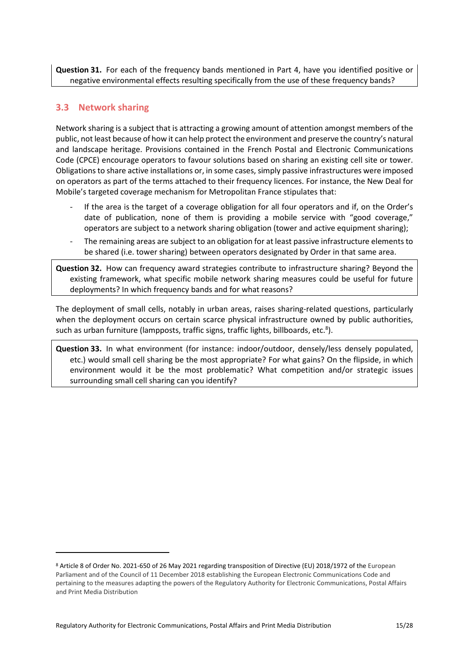**Question 31.** For each of the frequency bands mentioned in Part 4, have you identified positive or negative environmental effects resulting specifically from the use of these frequency bands?

### <span id="page-14-0"></span>**3.3 Network sharing**

 $\overline{\phantom{a}}$ 

Network sharing is a subject that is attracting a growing amount of attention amongst members of the public, not least because of how it can help protect the environment and preserve the country's natural and landscape heritage. Provisions contained in the French Postal and Electronic Communications Code (CPCE) encourage operators to favour solutions based on sharing an existing cell site or tower. Obligations to share active installations or, in some cases, simply passive infrastructures were imposed on operators as part of the terms attached to their frequency licences. For instance, the New Deal for Mobile's targeted coverage mechanism for Metropolitan France stipulates that:

- If the area is the target of a coverage obligation for all four operators and if, on the Order's date of publication, none of them is providing a mobile service with "good coverage," operators are subject to a network sharing obligation (tower and active equipment sharing);
- The remaining areas are subject to an obligation for at least passive infrastructure elements to be shared (i.e. tower sharing) between operators designated by Order in that same area.

**Question 32.** How can frequency award strategies contribute to infrastructure sharing? Beyond the existing framework, what specific mobile network sharing measures could be useful for future deployments? In which frequency bands and for what reasons?

The deployment of small cells, notably in urban areas, raises sharing-related questions, particularly when the deployment occurs on certain scarce physical infrastructure owned by public authorities, such as urban furniture (lampposts, traffic signs, traffic lights, billboards, etc.<sup>8</sup>).

**Question 33.** In what environment (for instance: indoor/outdoor, densely/less densely populated, etc.) would small cell sharing be the most appropriate? For what gains? On the flipside, in which environment would it be the most problematic? What competition and/or strategic issues surrounding small cell sharing can you identify?

<sup>8</sup> Article 8 of Order No. 2021-650 of 26 May 2021 regarding transposition of Directive (EU) 2018/1972 of the European Parliament and of the Council of 11 December 2018 establishing the European Electronic Communications Code and pertaining to the measures adapting the powers of the Regulatory Authority for Electronic Communications, Postal Affairs and Print Media Distribution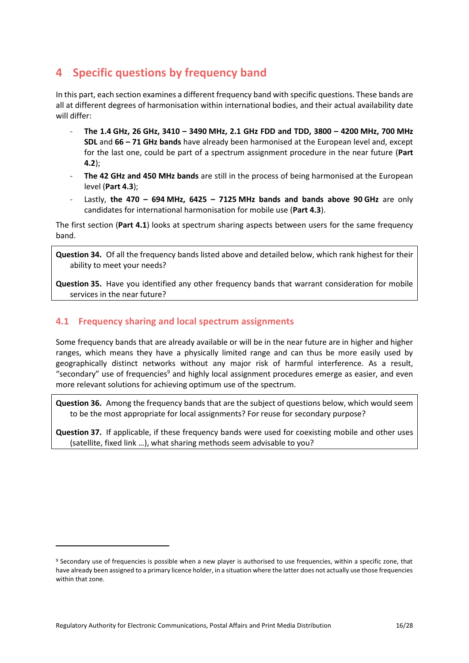## <span id="page-15-0"></span>**4 Specific questions by frequency band**

In this part, each section examines a different frequency band with specific questions. These bands are all at different degrees of harmonisation within international bodies, and their actual availability date will differ:

- **The 1.4 GHz, 26 GHz, 3410 – 3490 MHz, 2.1 GHz FDD and TDD, 3800 – 4200 MHz, 700 MHz SDL** and **66 – 71 GHz bands** have already been harmonised at the European level and, except for the last one, could be part of a spectrum assignment procedure in the near future (**Part 4.2**);
- **The 42 GHz and 450 MHz bands** are still in the process of being harmonised at the European level (**Part 4.3**);
- Lastly, **the 470 – 694 MHz, 6425 – 7125 MHz bands and bands above 90 GHz** are only candidates for international harmonisation for mobile use (**Part 4.3**).

The first section (**Part 4.1**) looks at spectrum sharing aspects between users for the same frequency band.

**Question 34.** Of all the frequency bands listed above and detailed below, which rank highest for their ability to meet your needs?

**Question 35.** Have you identified any other frequency bands that warrant consideration for mobile services in the near future?

### <span id="page-15-1"></span>**4.1 Frequency sharing and local spectrum assignments**

Some frequency bands that are already available or will be in the near future are in higher and higher ranges, which means they have a physically limited range and can thus be more easily used by geographically distinct networks without any major risk of harmful interference. As a result, "secondary" use of frequencies $9$  and highly local assignment procedures emerge as easier, and even more relevant solutions for achieving optimum use of the spectrum.

**Question 36.** Among the frequency bands that are the subject of questions below, which would seem to be the most appropriate for local assignments? For reuse for secondary purpose?

**Question 37.** If applicable, if these frequency bands were used for coexisting mobile and other uses (satellite, fixed link …), what sharing methods seem advisable to you?

 $\overline{a}$ 

<sup>9</sup> Secondary use of frequencies is possible when a new player is authorised to use frequencies, within a specific zone, that have already been assigned to a primary licence holder, in a situation where the latter does not actually use those frequencies within that zone.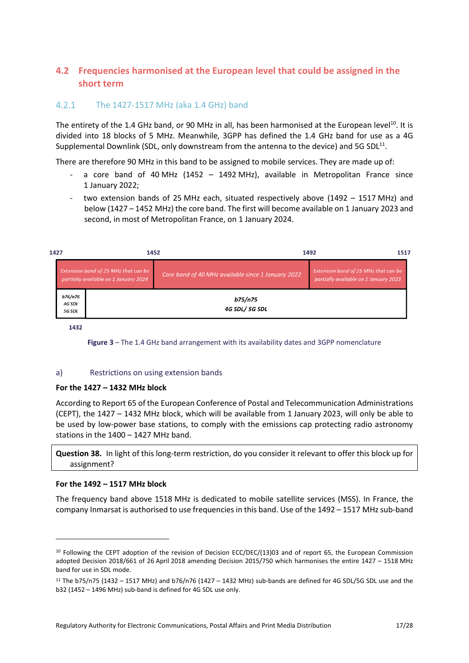### <span id="page-16-0"></span>**4.2 Frequencies harmonised at the European level that could be assigned in the short term**

#### $4.2.1$ The 1427-1517 MHz (aka 1.4 GHz) band

The entirety of the 1.4 GHz band, or 90 MHz in all, has been harmonised at the European level<sup>10</sup>. It is divided into 18 blocks of 5 MHz. Meanwhile, 3GPP has defined the 1.4 GHz band for use as a 4G Supplemental Downlink (SDL, only downstream from the antenna to the device) and 5G SDL $^{11}$ .

There are therefore 90 MHz in this band to be assigned to mobile services. They are made up of:

- a core band of 40 MHz (1452 1492 MHz), available in Metropolitan France since 1 January 2022;
- two extension bands of 25 MHz each, situated respectively above  $(1492 1517 \text{ MHz})$  and below (1427 – 1452 MHz) the core band. The first will become available on 1 January 2023 and second, in most of Metropolitan France, on 1 January 2024.

| 1427 |                             |                                                                               | 1452                                               | 1517<br>1492                                                                  |  |
|------|-----------------------------|-------------------------------------------------------------------------------|----------------------------------------------------|-------------------------------------------------------------------------------|--|
|      |                             | Extension band of 25 MHz that can be<br>partially available on 1 January 2024 | Core band of 40 MHz available since 1 January 2022 | Extension band of 25 MHz that can be<br>partially available on 1 January 2023 |  |
|      | b76/n76<br>4G SDL<br>5G SDL |                                                                               | <b>b75/n75</b><br>4G SDL/5G SDL                    |                                                                               |  |

1432

 $\overline{a}$ 

**Figure 3** – The 1.4 GHz band arrangement with its availability dates and 3GPP nomenclature

#### a) Restrictions on using extension bands

#### **For the 1427 – 1432 MHz block**

According to Report 65 of the European Conference of Postal and Telecommunication Administrations (CEPT), the 1427 – 1432 MHz block, which will be available from 1 January 2023, will only be able to be used by low-power base stations, to comply with the emissions cap protecting radio astronomy stations in the 1400 – 1427 MHz band.

**Question 38.** In light of this long-term restriction, do you consider it relevant to offer this block up for assignment?

#### **For the 1492 – 1517 MHz block**

The frequency band above 1518 MHz is dedicated to mobile satellite services (MSS). In France, the company Inmarsat is authorised to use frequencies in this band. Use of the 1492 – 1517 MHz sub-band

 $10$  Following the CEPT adoption of the revision of Decision ECC/DEC/(13)03 and of report 65, the European Commission adopted Decision 2018/661 of 26 April 2018 amending Decision 2015/750 which harmonises the entire 1427 – 1518 MHz band for use in SDL mode.

<sup>&</sup>lt;sup>11</sup> The b75/n75 (1432 – 1517 MHz) and b76/n76 (1427 – 1432 MHz) sub-bands are defined for 4G SDL/5G SDL use and the b32 (1452 – 1496 MHz) sub-band is defined for 4G SDL use only.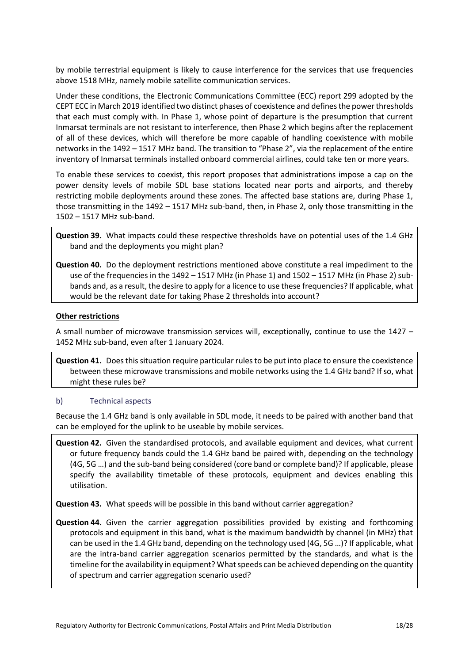by mobile terrestrial equipment is likely to cause interference for the services that use frequencies above 1518 MHz, namely mobile satellite communication services.

Under these conditions, the Electronic Communications Committee (ECC) report 299 adopted by the CEPT ECC in March 2019 identified two distinct phases of coexistence and defines the power thresholds that each must comply with. In Phase 1, whose point of departure is the presumption that current Inmarsat terminals are not resistant to interference, then Phase 2 which begins after the replacement of all of these devices, which will therefore be more capable of handling coexistence with mobile networks in the 1492 – 1517 MHz band. The transition to "Phase 2", via the replacement of the entire inventory of Inmarsat terminals installed onboard commercial airlines, could take ten or more years.

To enable these services to coexist, this report proposes that administrations impose a cap on the power density levels of mobile SDL base stations located near ports and airports, and thereby restricting mobile deployments around these zones. The affected base stations are, during Phase 1, those transmitting in the 1492 – 1517 MHz sub-band, then, in Phase 2, only those transmitting in the 1502 – 1517 MHz sub-band.

**Question 39.** What impacts could these respective thresholds have on potential uses of the 1.4 GHz band and the deployments you might plan?

**Question 40.** Do the deployment restrictions mentioned above constitute a real impediment to the use of the frequencies in the 1492 – 1517 MHz (in Phase 1) and 1502 – 1517 MHz(in Phase 2) subbands and, as a result, the desire to apply for a licence to use these frequencies? If applicable, what would be the relevant date for taking Phase 2 thresholds into account?

#### **Other restrictions**

A small number of microwave transmission services will, exceptionally, continue to use the 1427 – 1452 MHz sub-band, even after 1 January 2024.

**Question 41.** Does this situation require particular rules to be put into place to ensure the coexistence between these microwave transmissions and mobile networks using the 1.4 GHz band? If so, what might these rules be?

#### b) Technical aspects

Because the 1.4 GHz band is only available in SDL mode, it needs to be paired with another band that can be employed for the uplink to be useable by mobile services.

**Question 42.** Given the standardised protocols, and available equipment and devices, what current or future frequency bands could the 1.4 GHz band be paired with, depending on the technology (4G, 5G …) and the sub-band being considered (core band or complete band)? If applicable, please specify the availability timetable of these protocols, equipment and devices enabling this utilisation.

**Question 43.** What speeds will be possible in this band without carrier aggregation?

**Question 44.** Given the carrier aggregation possibilities provided by existing and forthcoming protocols and equipment in this band, what is the maximum bandwidth by channel (in MHz) that can be used in the 1.4 GHz band, depending on the technology used (4G, 5G …)? If applicable, what are the intra-band carrier aggregation scenarios permitted by the standards, and what is the timeline for the availability in equipment? What speeds can be achieved depending on the quantity of spectrum and carrier aggregation scenario used?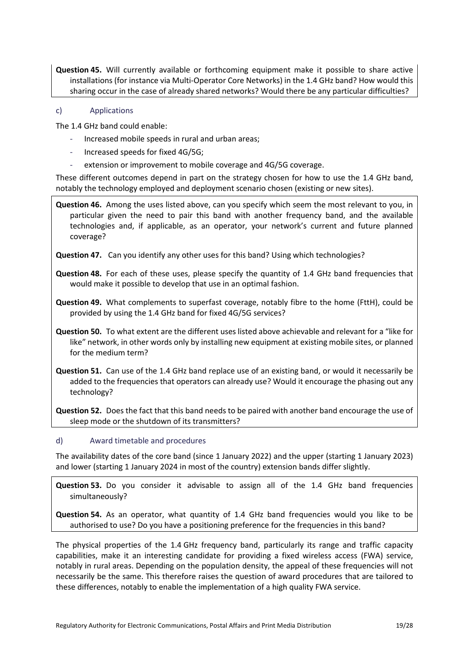**Question 45.** Will currently available or forthcoming equipment make it possible to share active installations (for instance via Multi-Operator Core Networks) in the 1.4 GHz band? How would this sharing occur in the case of already shared networks? Would there be any particular difficulties?

#### c) Applications

The 1.4 GHz band could enable:

- Increased mobile speeds in rural and urban areas;
- Increased speeds for fixed 4G/5G;
- extension or improvement to mobile coverage and 4G/5G coverage.

These different outcomes depend in part on the strategy chosen for how to use the 1.4 GHz band, notably the technology employed and deployment scenario chosen (existing or new sites).

**Question 46.** Among the uses listed above, can you specify which seem the most relevant to you, in particular given the need to pair this band with another frequency band, and the available technologies and, if applicable, as an operator, your network's current and future planned coverage?

**Question 47.** Can you identify any other uses for this band? Using which technologies?

**Question 48.** For each of these uses, please specify the quantity of 1.4 GHz band frequencies that would make it possible to develop that use in an optimal fashion.

**Question 49.** What complements to superfast coverage, notably fibre to the home (FttH), could be provided by using the 1.4 GHz band for fixed 4G/5G services?

**Question 50.** To what extent are the different uses listed above achievable and relevant for a "like for like" network, in other words only by installing new equipment at existing mobile sites, or planned for the medium term?

**Question 51.** Can use of the 1.4 GHz band replace use of an existing band, or would it necessarily be added to the frequencies that operators can already use? Would it encourage the phasing out any technology?

**Question 52.** Does the fact that this band needs to be paired with another band encourage the use of sleep mode or the shutdown of its transmitters?

#### d) Award timetable and procedures

The availability dates of the core band (since 1 January 2022) and the upper (starting 1 January 2023) and lower (starting 1 January 2024 in most of the country) extension bands differ slightly.

**Question 53.** Do you consider it advisable to assign all of the 1.4 GHz band frequencies simultaneously?

**Question 54.** As an operator, what quantity of 1.4 GHz band frequencies would you like to be authorised to use? Do you have a positioning preference for the frequencies in this band?

The physical properties of the 1.4 GHz frequency band, particularly its range and traffic capacity capabilities, make it an interesting candidate for providing a fixed wireless access (FWA) service, notably in rural areas. Depending on the population density, the appeal of these frequencies will not necessarily be the same. This therefore raises the question of award procedures that are tailored to these differences, notably to enable the implementation of a high quality FWA service.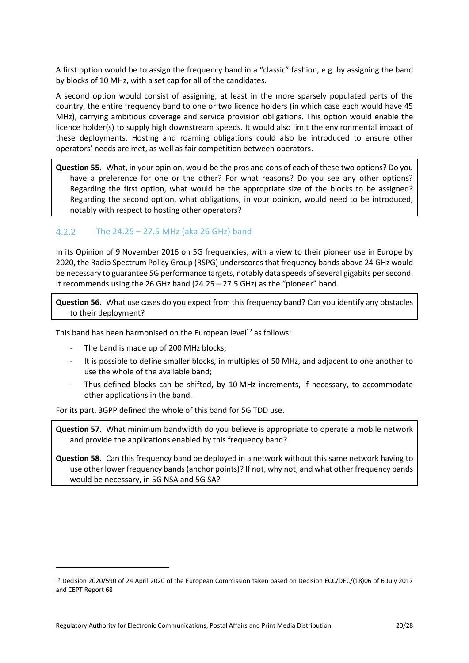A first option would be to assign the frequency band in a "classic" fashion, e.g. by assigning the band by blocks of 10 MHz, with a set cap for all of the candidates.

A second option would consist of assigning, at least in the more sparsely populated parts of the country, the entire frequency band to one or two licence holders (in which case each would have 45 MHz), carrying ambitious coverage and service provision obligations. This option would enable the licence holder(s) to supply high downstream speeds. It would also limit the environmental impact of these deployments. Hosting and roaming obligations could also be introduced to ensure other operators' needs are met, as well as fair competition between operators.

**Question 55.** What, in your opinion, would be the pros and cons of each of these two options? Do you have a preference for one or the other? For what reasons? Do you see any other options? Regarding the first option, what would be the appropriate size of the blocks to be assigned? Regarding the second option, what obligations, in your opinion, would need to be introduced, notably with respect to hosting other operators?

#### $4.2.2$ The 24.25 – 27.5 MHz (aka 26 GHz) band

In its Opinion of 9 November 2016 on 5G frequencies, with a view to their pioneer use in Europe by 2020, the Radio Spectrum Policy Group (RSPG) underscores that frequency bands above 24 GHz would be necessary to guarantee 5G performance targets, notably data speeds of several gigabits per second. It recommends using the 26 GHz band (24.25 – 27.5 GHz) as the "pioneer" band.

**Question 56.** What use cases do you expect from this frequency band? Can you identify any obstacles to their deployment?

This band has been harmonised on the European level<sup>12</sup> as follows:

The band is made up of 200 MHz blocks;

 $\overline{a}$ 

- It is possible to define smaller blocks, in multiples of 50 MHz, and adjacent to one another to use the whole of the available band;
- Thus-defined blocks can be shifted, by 10 MHz increments, if necessary, to accommodate other applications in the band.

For its part, 3GPP defined the whole of this band for 5G TDD use.

**Question 57.** What minimum bandwidth do you believe is appropriate to operate a mobile network and provide the applications enabled by this frequency band?

**Question 58.** Can this frequency band be deployed in a network without this same network having to use other lower frequency bands (anchor points)? If not, why not, and what other frequency bands would be necessary, in 5G NSA and 5G SA?

<sup>12</sup> Decision 2020/590 of 24 April 2020 of the European Commission taken based on Decision ECC/DEC/(18)06 of 6 July 2017 and CEPT Report 68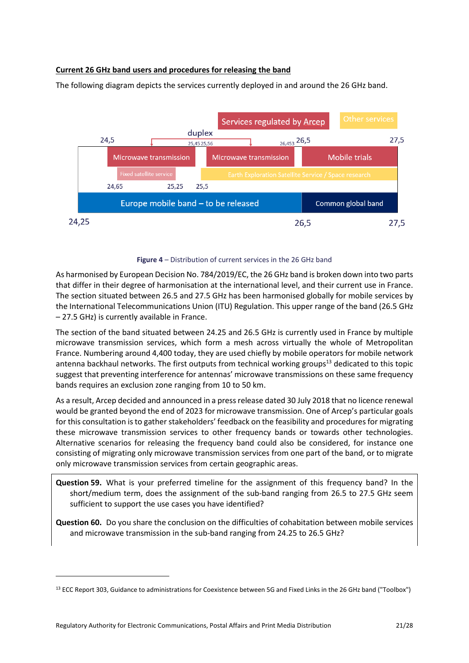#### **Current 26 GHz band users and procedures for releasing the band**

The following diagram depicts the services currently deployed in and around the 26 GHz band.



#### **Figure 4** – Distribution of current services in the 26 GHz band

As harmonised by European Decision No. 784/2019/EC, the 26 GHz band is broken down into two parts that differ in their degree of harmonisation at the international level, and their current use in France. The section situated between 26.5 and 27.5 GHz has been harmonised globally for mobile services by the International Telecommunications Union (ITU) Regulation. This upper range of the band (26.5 GHz – 27.5 GHz) is currently available in France.

The section of the band situated between 24.25 and 26.5 GHz is currently used in France by multiple microwave transmission services, which form a mesh across virtually the whole of Metropolitan France. Numbering around 4,400 today, they are used chiefly by mobile operators for mobile network antenna backhaul networks. The first outputs from technical working groups<sup>13</sup> dedicated to this topic suggest that preventing interference for antennas' microwave transmissions on these same frequency bands requires an exclusion zone ranging from 10 to 50 km.

As a result, Arcep decided and announced in a press release dated 30 July 2018 that no licence renewal would be granted beyond the end of 2023 for microwave transmission. One of Arcep's particular goals for this consultation is to gather stakeholders' feedback on the feasibility and procedures for migrating these microwave transmission services to other frequency bands or towards other technologies. Alternative scenarios for releasing the frequency band could also be considered, for instance one consisting of migrating only microwave transmission services from one part of the band, or to migrate only microwave transmission services from certain geographic areas.

**Question 59.** What is your preferred timeline for the assignment of this frequency band? In the short/medium term, does the assignment of the sub-band ranging from 26.5 to 27.5 GHz seem sufficient to support the use cases you have identified?

**Question 60.** Do you share the conclusion on the difficulties of cohabitation between mobile services and microwave transmission in the sub-band ranging from 24.25 to 26.5 GHz?

 $\overline{\phantom{a}}$ 

<sup>13</sup> ECC Report 303, Guidance to administrations for Coexistence between 5G and Fixed Links in the 26 GHz band ("Toolbox")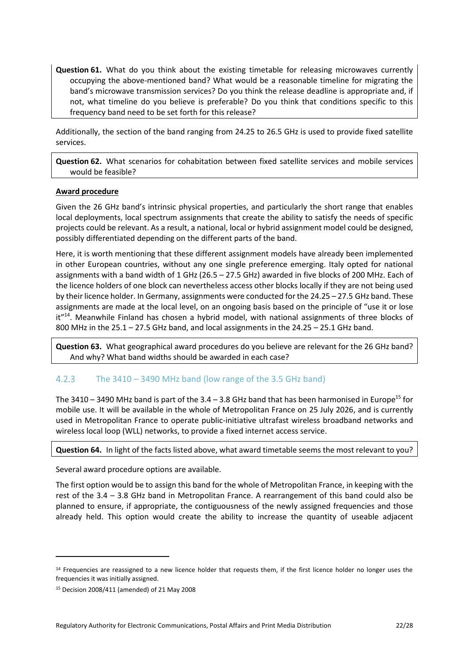**Question 61.** What do you think about the existing timetable for releasing microwaves currently occupying the above-mentioned band? What would be a reasonable timeline for migrating the band's microwave transmission services? Do you think the release deadline is appropriate and, if not, what timeline do you believe is preferable? Do you think that conditions specific to this frequency band need to be set forth for this release?

Additionally, the section of the band ranging from 24.25 to 26.5 GHz is used to provide fixed satellite services.

**Question 62.** What scenarios for cohabitation between fixed satellite services and mobile services would be feasible?

#### **Award procedure**

Given the 26 GHz band's intrinsic physical properties, and particularly the short range that enables local deployments, local spectrum assignments that create the ability to satisfy the needs of specific projects could be relevant. As a result, a national, local or hybrid assignment model could be designed, possibly differentiated depending on the different parts of the band.

Here, it is worth mentioning that these different assignment models have already been implemented in other European countries, without any one single preference emerging. Italy opted for national assignments with a band width of 1 GHz (26.5 – 27.5 GHz) awarded in five blocks of 200 MHz. Each of the licence holders of one block can nevertheless access other blocks locally if they are not being used by their licence holder. In Germany, assignments were conducted for the 24.25 – 27.5 GHz band. These assignments are made at the local level, on an ongoing basis based on the principle of "use it or lose it"<sup>14</sup>. Meanwhile Finland has chosen a hybrid model, with national assignments of three blocks of 800 MHz in the 25.1 – 27.5 GHz band, and local assignments in the 24.25 – 25.1 GHz band.

**Question 63.** What geographical award procedures do you believe are relevant for the 26 GHz band? And why? What band widths should be awarded in each case?

#### $4.2.3$ The 3410 – 3490 MHz band (low range of the 3.5 GHz band)

The 3410 – 3490 MHz band is part of the  $3.4 - 3.8$  GHz band that has been harmonised in Europe<sup>15</sup> for mobile use. It will be available in the whole of Metropolitan France on 25 July 2026, and is currently used in Metropolitan France to operate public-initiative ultrafast wireless broadband networks and wireless local loop (WLL) networks, to provide a fixed internet access service.

#### **Question 64.** In light of the facts listed above, what award timetable seems the most relevant to you?

Several award procedure options are available.

The first option would be to assign this band for the whole of Metropolitan France, in keeping with the rest of the 3.4 – 3.8 GHz band in Metropolitan France. A rearrangement of this band could also be planned to ensure, if appropriate, the contiguousness of the newly assigned frequencies and those already held. This option would create the ability to increase the quantity of useable adjacent

 $\overline{\phantom{a}}$ 

<sup>&</sup>lt;sup>14</sup> Frequencies are reassigned to a new licence holder that requests them, if the first licence holder no longer uses the frequencies it was initially assigned.

<sup>15</sup> Decision 2008/411 (amended) of 21 May 2008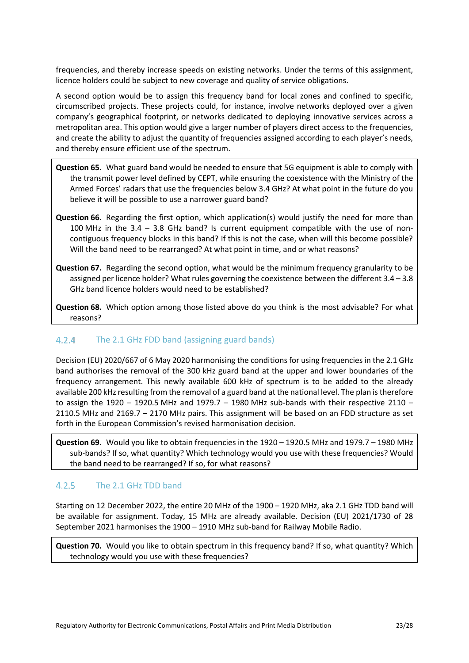frequencies, and thereby increase speeds on existing networks. Under the terms of this assignment, licence holders could be subject to new coverage and quality of service obligations.

A second option would be to assign this frequency band for local zones and confined to specific, circumscribed projects. These projects could, for instance, involve networks deployed over a given company's geographical footprint, or networks dedicated to deploying innovative services across a metropolitan area. This option would give a larger number of players direct access to the frequencies, and create the ability to adjust the quantity of frequencies assigned according to each player's needs, and thereby ensure efficient use of the spectrum.

- **Question 65.** What guard band would be needed to ensure that 5G equipment is able to comply with the transmit power level defined by CEPT, while ensuring the coexistence with the Ministry of the Armed Forces' radars that use the frequencies below 3.4 GHz? At what point in the future do you believe it will be possible to use a narrower guard band?
- **Question 66.** Regarding the first option, which application(s) would justify the need for more than 100 MHz in the 3.4 – 3.8 GHz band? Is current equipment compatible with the use of noncontiguous frequency blocks in this band? If this is not the case, when will this become possible? Will the band need to be rearranged? At what point in time, and or what reasons?
- **Question 67.** Regarding the second option, what would be the minimum frequency granularity to be assigned per licence holder? What rules governing the coexistence between the different 3.4 – 3.8 GHz band licence holders would need to be established?

**Question 68.** Which option among those listed above do you think is the most advisable? For what reasons?

#### $4.2.4$ The 2.1 GHz FDD band (assigning guard bands)

Decision (EU) 2020/667 of 6 May 2020 harmonising the conditions for using frequencies in the 2.1 GHz band authorises the removal of the 300 kHz guard band at the upper and lower boundaries of the frequency arrangement. This newly available 600 kHz of spectrum is to be added to the already available 200 kHz resulting from the removal of a guard band at the national level. The plan is therefore to assign the 1920 – 1920.5 MHz and 1979.7 – 1980 MHz sub-bands with their respective 2110 – 2110.5 MHz and 2169.7 – 2170 MHz pairs. This assignment will be based on an FDD structure as set forth in the European Commission's revised harmonisation decision.

**Question 69.** Would you like to obtain frequencies in the 1920 – 1920.5 MHz and 1979.7 – 1980 MHz sub-bands? If so, what quantity? Which technology would you use with these frequencies? Would the band need to be rearranged? If so, for what reasons?

#### $4.2.5$ The 2.1 GHz TDD band

Starting on 12 December 2022, the entire 20 MHz of the 1900 – 1920 MHz, aka 2.1 GHz TDD band will be available for assignment. Today, 15 MHz are already available. Decision (EU) 2021/1730 of 28 September 2021 harmonises the 1900 – 1910 MHz sub-band for Railway Mobile Radio.

**Question 70.** Would you like to obtain spectrum in this frequency band? If so, what quantity? Which technology would you use with these frequencies?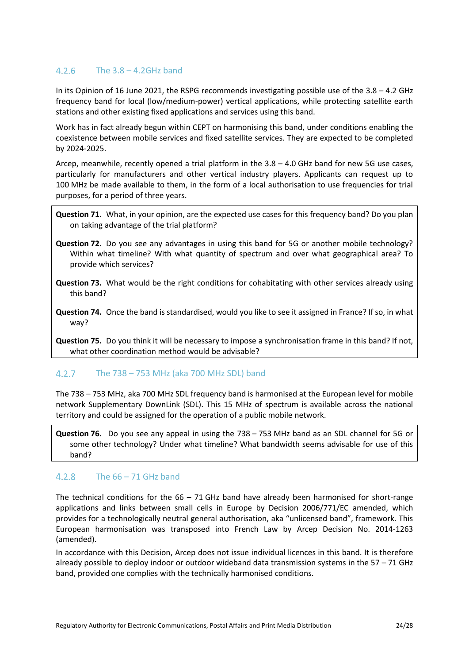#### $4.2.6$ The  $3.8 - 4.2$ GHz band

In its Opinion of 16 June 2021, the RSPG recommends investigating possible use of the 3.8 – 4.2 GHz frequency band for local (low/medium-power) vertical applications, while protecting satellite earth stations and other existing fixed applications and services using this band.

Work has in fact already begun within CEPT on harmonising this band, under conditions enabling the coexistence between mobile services and fixed satellite services. They are expected to be completed by 2024-2025.

Arcep, meanwhile, recently opened a trial platform in the 3.8 – 4.0 GHz band for new 5G use cases, particularly for manufacturers and other vertical industry players. Applicants can request up to 100 MHz be made available to them, in the form of a local authorisation to use frequencies for trial purposes, for a period of three years.

**Question 71.** What, in your opinion, are the expected use cases for this frequency band? Do you plan on taking advantage of the trial platform?

**Question 72.** Do you see any advantages in using this band for 5G or another mobile technology? Within what timeline? With what quantity of spectrum and over what geographical area? To provide which services?

**Question 73.** What would be the right conditions for cohabitating with other services already using this band?

**Question 74.** Once the band is standardised, would you like to see it assigned in France? If so, in what way?

**Question 75.** Do you think it will be necessary to impose a synchronisation frame in this band? If not, what other coordination method would be advisable?

#### $4.2.7$ The 738 – 753 MHz (aka 700 MHz SDL) band

The 738 – 753 MHz, aka 700 MHz SDL frequency band is harmonised at the European level for mobile network Supplementary DownLink (SDL). This 15 MHz of spectrum is available across the national territory and could be assigned for the operation of a public mobile network.

**Question 76.** Do you see any appeal in using the 738 – 753 MHz band as an SDL channel for 5G or some other technology? Under what timeline? What bandwidth seems advisable for use of this band?

#### $4.2.8$ The  $66 - 71$  GHz band

The technical conditions for the  $66 - 71$  GHz band have already been harmonised for short-range applications and links between small cells in Europe by Decision 2006/771/EC amended, which provides for a technologically neutral general authorisation, aka "unlicensed band", framework. This European harmonisation was transposed into French Law by Arcep Decision No. 2014-1263 (amended).

In accordance with this Decision, Arcep does not issue individual licences in this band. It is therefore already possible to deploy indoor or outdoor wideband data transmission systems in the 57 – 71 GHz band, provided one complies with the technically harmonised conditions.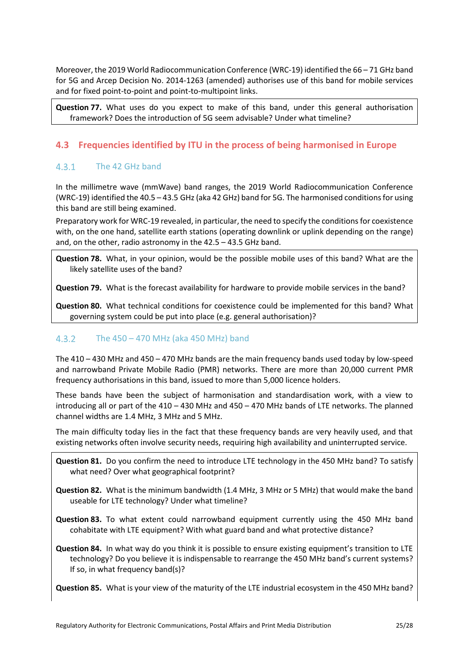Moreover, the 2019 World Radiocommunication Conference (WRC-19) identified the 66 – 71 GHz band for 5G and Arcep Decision No. 2014-1263 (amended) authorises use of this band for mobile services and for fixed point-to-point and point-to-multipoint links.

**Question 77.** What uses do you expect to make of this band, under this general authorisation framework? Does the introduction of 5G seem advisable? Under what timeline?

### <span id="page-24-0"></span>**4.3 Frequencies identified by ITU in the process of being harmonised in Europe**

#### The 42 GHz band  $4.3.1$

In the millimetre wave (mmWave) band ranges, the 2019 World Radiocommunication Conference (WRC-19) identified the 40.5 – 43.5 GHz (aka 42 GHz) band for 5G. The harmonised conditions for using this band are still being examined.

Preparatory work for WRC-19 revealed, in particular, the need to specify the conditionsfor coexistence with, on the one hand, satellite earth stations (operating downlink or uplink depending on the range) and, on the other, radio astronomy in the 42.5 – 43.5 GHz band.

**Question 78.** What, in your opinion, would be the possible mobile uses of this band? What are the likely satellite uses of the band?

**Question 79.** What is the forecast availability for hardware to provide mobile services in the band?

**Question 80.** What technical conditions for coexistence could be implemented for this band? What governing system could be put into place (e.g. general authorisation)?

#### $4.3.2$ The 450 – 470 MHz (aka 450 MHz) band

The 410 – 430 MHz and 450 – 470 MHz bands are the main frequency bands used today by low-speed and narrowband Private Mobile Radio (PMR) networks. There are more than 20,000 current PMR frequency authorisations in this band, issued to more than 5,000 licence holders.

These bands have been the subject of harmonisation and standardisation work, with a view to introducing all or part of the 410 – 430 MHz and 450 – 470 MHz bands of LTE networks. The planned channel widths are 1.4 MHz, 3 MHz and 5 MHz.

The main difficulty today lies in the fact that these frequency bands are very heavily used, and that existing networks often involve security needs, requiring high availability and uninterrupted service.

**Question 81.** Do you confirm the need to introduce LTE technology in the 450 MHz band? To satisfy what need? Over what geographical footprint?

**Question 82.** What is the minimum bandwidth (1.4 MHz, 3 MHz or 5 MHz) that would make the band useable for LTE technology? Under what timeline?

**Question 83.** To what extent could narrowband equipment currently using the 450 MHz band cohabitate with LTE equipment? With what guard band and what protective distance?

**Question 84.** In what way do you think it is possible to ensure existing equipment's transition to LTE technology? Do you believe it is indispensable to rearrange the 450 MHz band's current systems? If so, in what frequency band(s)?

**Question 85.** What is your view of the maturity of the LTE industrial ecosystem in the 450 MHz band?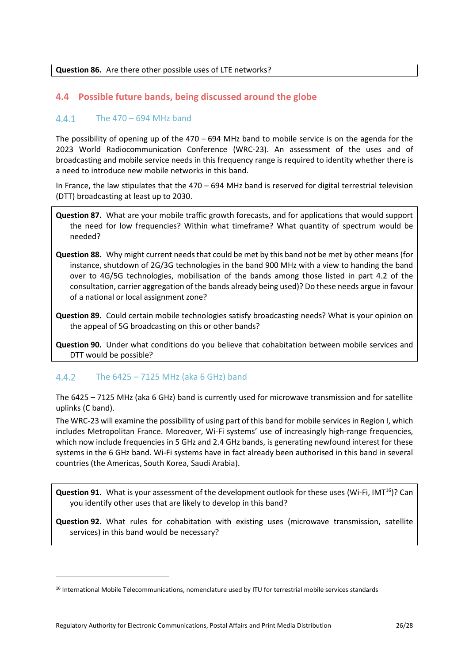### <span id="page-25-0"></span>**4.4 Possible future bands, being discussed around the globe**

#### $4.4.1$ The 470 – 694 MHz band

The possibility of opening up of the  $470 - 694$  MHz band to mobile service is on the agenda for the 2023 World Radiocommunication Conference (WRC-23). An assessment of the uses and of broadcasting and mobile service needs in this frequency range is required to identity whether there is a need to introduce new mobile networks in this band.

In France, the law stipulates that the 470 – 694 MHz band is reserved for digital terrestrial television (DTT) broadcasting at least up to 2030.

**Question 87.** What are your mobile traffic growth forecasts, and for applications that would support the need for low frequencies? Within what timeframe? What quantity of spectrum would be needed?

- **Question 88.** Why might current needs that could be met by this band not be met by other means (for instance, shutdown of 2G/3G technologies in the band 900 MHz with a view to handing the band over to 4G/5G technologies, mobilisation of the bands among those listed in part [4.2](#page-16-0) of the consultation, carrier aggregation of the bands already being used)? Do these needs argue in favour of a national or local assignment zone?
- **Question 89.** Could certain mobile technologies satisfy broadcasting needs? What is your opinion on the appeal of 5G broadcasting on this or other bands?

**Question 90.** Under what conditions do you believe that cohabitation between mobile services and DTT would be possible?

#### $4.4.2$ The 6425 – 7125 MHz (aka 6 GHz) band

 $\overline{\phantom{a}}$ 

The 6425 – 7125 MHz (aka 6 GHz) band is currently used for microwave transmission and for satellite uplinks (C band).

The WRC-23 will examine the possibility of using part of this band for mobile services in Region I, which includes Metropolitan France. Moreover, Wi-Fi systems' use of increasingly high-range frequencies, which now include frequencies in 5 GHz and 2.4 GHz bands, is generating newfound interest for these systems in the 6 GHz band. Wi-Fi systems have in fact already been authorised in this band in several countries (the Americas, South Korea, Saudi Arabia).

**Question 91.** What is your assessment of the development outlook for these uses (Wi-Fi, IMT<sup>16</sup>)? Can you identify other uses that are likely to develop in this band?

**Question 92.** What rules for cohabitation with existing uses (microwave transmission, satellite services) in this band would be necessary?

<sup>16</sup> International Mobile Telecommunications, nomenclature used by ITU for terrestrial mobile services standards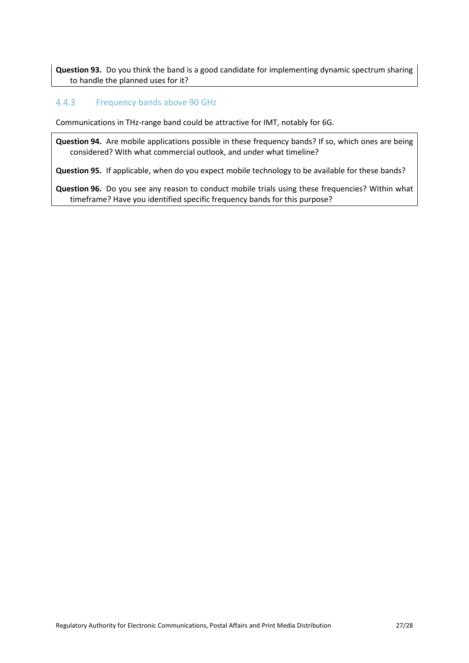**Question 93.** Do you think the band is a good candidate for implementing dynamic spectrum sharing to handle the planned uses for it?

#### $4.4.3$ Frequency bands above 90 GHz

Communications in THz-range band could be attractive for IMT, notably for 6G.

**Question 94.** Are mobile applications possible in these frequency bands? If so, which ones are being considered? With what commercial outlook, and under what timeline?

**Question 95.** If applicable, when do you expect mobile technology to be available for these bands?

**Question 96.** Do you see any reason to conduct mobile trials using these frequencies? Within what timeframe? Have you identified specific frequency bands for this purpose?